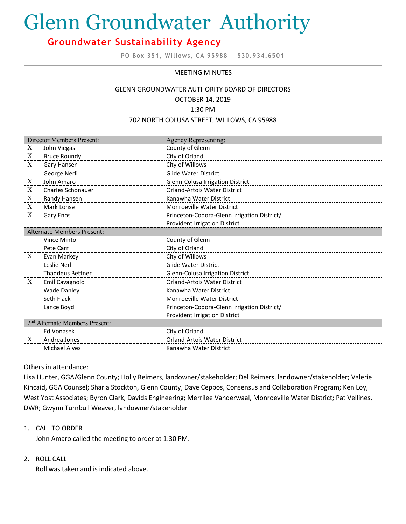# Glenn Groundwater Authority

# **Groundwater Sustainability Agency**

**PO Box 351, Willows, CA 95988 │ 530.934.6501**

#### MEETING MINUTES

#### GLENN GROUNDWATER AUTHORITY BOARD OF DIRECTORS OCTOBER 14, 2019

1:30 PM

#### 702 NORTH COLUSA STREET, WILLOWS, CA 95988

| <b>Director Members Present:</b>           |                          | <b>Agency Representing:</b>                 |
|--------------------------------------------|--------------------------|---------------------------------------------|
| X                                          | John Viegas              | County of Glenn                             |
| X                                          | <b>Bruce Roundy</b>      | City of Orland                              |
| X                                          | Gary Hansen              | City of Willows                             |
|                                            | George Nerli             | <b>Glide Water District</b>                 |
| $\boldsymbol{X}$                           | John Amaro               | Glenn-Colusa Irrigation District            |
| X                                          | <b>Charles Schonauer</b> | <b>Orland-Artois Water District</b>         |
| X                                          | Randy Hansen             | Kanawha Water District                      |
| X                                          | Mark Lohse               | Monroeville Water District                  |
| X                                          | Gary Enos                | Princeton-Codora-Glenn Irrigation District/ |
|                                            |                          | <b>Provident Irrigation District</b>        |
| <b>Alternate Members Present:</b>          |                          |                                             |
|                                            | Vince Minto              | County of Glenn                             |
|                                            | Pete Carr                | City of Orland                              |
| X                                          | Evan Markey              | City of Willows                             |
|                                            | Leslie Nerli             | <b>Glide Water District</b>                 |
|                                            | <b>Thaddeus Bettner</b>  | Glenn-Colusa Irrigation District            |
| X                                          | Emil Cavagnolo           | <b>Orland-Artois Water District</b>         |
|                                            | <b>Wade Danley</b>       | Kanawha Water District                      |
|                                            | Seth Fiack               | <b>Monroeville Water District</b>           |
|                                            | Lance Boyd               | Princeton-Codora-Glenn Irrigation District/ |
|                                            |                          | <b>Provident Irrigation District</b>        |
| 2 <sup>nd</sup> Alternate Members Present: |                          |                                             |
|                                            | <b>Ed Vonasek</b>        | City of Orland                              |
| X                                          | Andrea Jones             | <b>Orland-Artois Water District</b>         |
|                                            | <b>Michael Alves</b>     | Kanawha Water District                      |

#### Others in attendance:

Lisa Hunter, GGA/Glenn County; Holly Reimers, landowner/stakeholder; Del Reimers, landowner/stakeholder; Valerie Kincaid, GGA Counsel; Sharla Stockton, Glenn County, Dave Ceppos, Consensus and Collaboration Program; Ken Loy, West Yost Associates; Byron Clark, Davids Engineering; Merrilee Vanderwaal, Monroeville Water District; Pat Vellines, DWR; Gwynn Turnbull Weaver, landowner/stakeholder

1. CALL TO ORDER

John Amaro called the meeting to order at 1:30 PM.

#### 2. ROLL CALL

Roll was taken and is indicated above.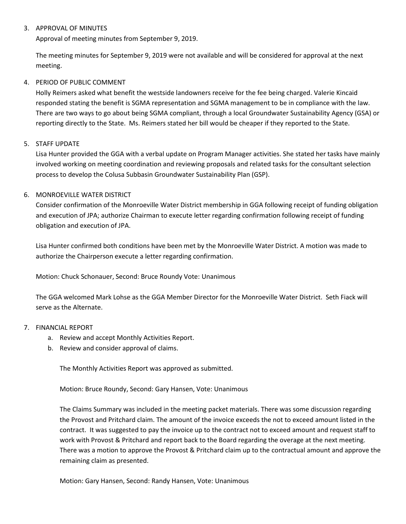# 3. APPROVAL OF MINUTES

Approval of meeting minutes from September 9, 2019.

The meeting minutes for September 9, 2019 were not available and will be considered for approval at the next meeting.

## 4. PERIOD OF PUBLIC COMMENT

Holly Reimers asked what benefit the westside landowners receive for the fee being charged. Valerie Kincaid responded stating the benefit is SGMA representation and SGMA management to be in compliance with the law. There are two ways to go about being SGMA compliant, through a local Groundwater Sustainability Agency (GSA) or reporting directly to the State. Ms. Reimers stated her bill would be cheaper if they reported to the State.

#### 5. STAFF UPDATE

Lisa Hunter provided the GGA with a verbal update on Program Manager activities. She stated her tasks have mainly involved working on meeting coordination and reviewing proposals and related tasks for the consultant selection process to develop the Colusa Subbasin Groundwater Sustainability Plan (GSP).

# 6. MONROEVILLE WATER DISTRICT

Consider confirmation of the Monroeville Water District membership in GGA following receipt of funding obligation and execution of JPA; authorize Chairman to execute letter regarding confirmation following receipt of funding obligation and execution of JPA.

Lisa Hunter confirmed both conditions have been met by the Monroeville Water District. A motion was made to authorize the Chairperson execute a letter regarding confirmation.

Motion: Chuck Schonauer, Second: Bruce Roundy Vote: Unanimous

The GGA welcomed Mark Lohse as the GGA Member Director for the Monroeville Water District. Seth Fiack will serve as the Alternate.

#### 7. FINANCIAL REPORT

- a. Review and accept Monthly Activities Report.
- b. Review and consider approval of claims.

The Monthly Activities Report was approved as submitted.

Motion: Bruce Roundy, Second: Gary Hansen, Vote: Unanimous

The Claims Summary was included in the meeting packet materials. There was some discussion regarding the Provost and Pritchard claim. The amount of the invoice exceeds the not to exceed amount listed in the contract. It was suggested to pay the invoice up to the contract not to exceed amount and request staff to work with Provost & Pritchard and report back to the Board regarding the overage at the next meeting. There was a motion to approve the Provost & Pritchard claim up to the contractual amount and approve the remaining claim as presented.

Motion: Gary Hansen, Second: Randy Hansen, Vote: Unanimous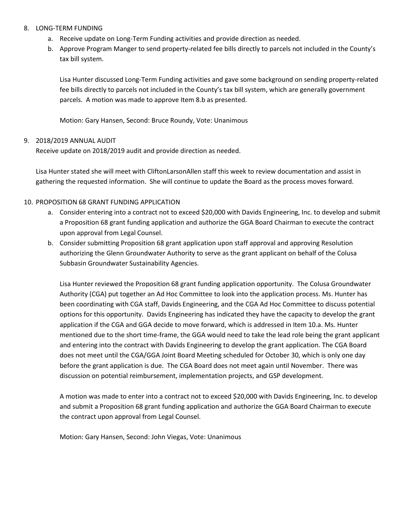#### 8. LONG-TERM FUNDING

- a. Receive update on Long-Term Funding activities and provide direction as needed.
- b. Approve Program Manger to send property-related fee bills directly to parcels not included in the County's tax bill system.

Lisa Hunter discussed Long-Term Funding activities and gave some background on sending property-related fee bills directly to parcels not included in the County's tax bill system, which are generally government parcels. A motion was made to approve Item 8.b as presented.

Motion: Gary Hansen, Second: Bruce Roundy, Vote: Unanimous

# 9. 2018/2019 ANNUAL AUDIT

Receive update on 2018/2019 audit and provide direction as needed.

Lisa Hunter stated she will meet with CliftonLarsonAllen staff this week to review documentation and assist in gathering the requested information. She will continue to update the Board as the process moves forward.

#### 10. PROPOSITION 68 GRANT FUNDING APPLICATION

- a. Consider entering into a contract not to exceed \$20,000 with Davids Engineering, Inc. to develop and submit a Proposition 68 grant funding application and authorize the GGA Board Chairman to execute the contract upon approval from Legal Counsel.
- b. Consider submitting Proposition 68 grant application upon staff approval and approving Resolution authorizing the Glenn Groundwater Authority to serve as the grant applicant on behalf of the Colusa Subbasin Groundwater Sustainability Agencies.

Lisa Hunter reviewed the Proposition 68 grant funding application opportunity. The Colusa Groundwater Authority (CGA) put together an Ad Hoc Committee to look into the application process. Ms. Hunter has been coordinating with CGA staff, Davids Engineering, and the CGA Ad Hoc Committee to discuss potential options for this opportunity. Davids Engineering has indicated they have the capacity to develop the grant application if the CGA and GGA decide to move forward, which is addressed in Item 10.a. Ms. Hunter mentioned due to the short time-frame, the GGA would need to take the lead role being the grant applicant and entering into the contract with Davids Engineering to develop the grant application. The CGA Board does not meet until the CGA/GGA Joint Board Meeting scheduled for October 30, which is only one day before the grant application is due. The CGA Board does not meet again until November. There was discussion on potential reimbursement, implementation projects, and GSP development.

A motion was made to enter into a contract not to exceed \$20,000 with Davids Engineering, Inc. to develop and submit a Proposition 68 grant funding application and authorize the GGA Board Chairman to execute the contract upon approval from Legal Counsel.

Motion: Gary Hansen, Second: John Viegas, Vote: Unanimous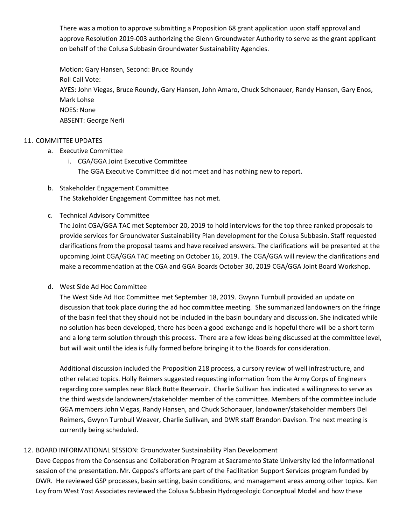There was a motion to approve submitting a Proposition 68 grant application upon staff approval and approve Resolution 2019-003 authorizing the Glenn Groundwater Authority to serve as the grant applicant on behalf of the Colusa Subbasin Groundwater Sustainability Agencies.

Motion: Gary Hansen, Second: Bruce Roundy Roll Call Vote: AYES: John Viegas, Bruce Roundy, Gary Hansen, John Amaro, Chuck Schonauer, Randy Hansen, Gary Enos, Mark Lohse NOES: None ABSENT: George Nerli

#### 11. COMMITTEE UPDATES

- a. Executive Committee
	- i. CGA/GGA Joint Executive Committee The GGA Executive Committee did not meet and has nothing new to report.
- b. Stakeholder Engagement Committee The Stakeholder Engagement Committee has not met.
- c. Technical Advisory Committee

The Joint CGA/GGA TAC met September 20, 2019 to hold interviews for the top three ranked proposals to provide services for Groundwater Sustainability Plan development for the Colusa Subbasin. Staff requested clarifications from the proposal teams and have received answers. The clarifications will be presented at the upcoming Joint CGA/GGA TAC meeting on October 16, 2019. The CGA/GGA will review the clarifications and make a recommendation at the CGA and GGA Boards October 30, 2019 CGA/GGA Joint Board Workshop.

d. West Side Ad Hoc Committee

The West Side Ad Hoc Committee met September 18, 2019. Gwynn Turnbull provided an update on discussion that took place during the ad hoc committee meeting. She summarized landowners on the fringe of the basin feel that they should not be included in the basin boundary and discussion. She indicated while no solution has been developed, there has been a good exchange and is hopeful there will be a short term and a long term solution through this process. There are a few ideas being discussed at the committee level, but will wait until the idea is fully formed before bringing it to the Boards for consideration.

Additional discussion included the Proposition 218 process, a cursory review of well infrastructure, and other related topics. Holly Reimers suggested requesting information from the Army Corps of Engineers regarding core samples near Black Butte Reservoir. Charlie Sullivan has indicated a willingness to serve as the third westside landowners/stakeholder member of the committee. Members of the committee include GGA members John Viegas, Randy Hansen, and Chuck Schonauer, landowner/stakeholder members Del Reimers, Gwynn Turnbull Weaver, Charlie Sullivan, and DWR staff Brandon Davison. The next meeting is currently being scheduled.

# 12. BOARD INFORMATIONAL SESSION: Groundwater Sustainability Plan Development

Dave Ceppos from the Consensus and Collaboration Program at Sacramento State University led the informational session of the presentation. Mr. Ceppos's efforts are part of the Facilitation Support Services program funded by DWR. He reviewed GSP processes, basin setting, basin conditions, and management areas among other topics. Ken Loy from West Yost Associates reviewed the Colusa Subbasin Hydrogeologic Conceptual Model and how these